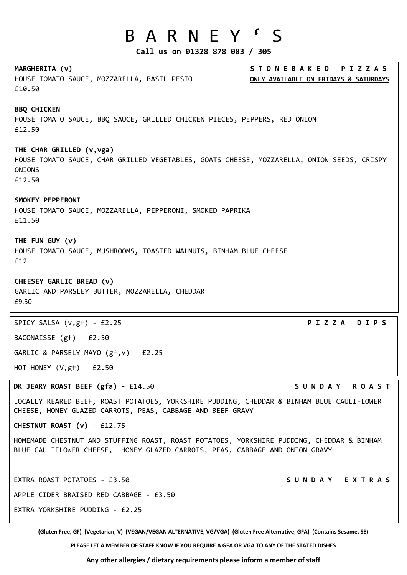## B A R N E Y ' S

**Call us on 01328 878 083 / 305**

| MARGHERITA (v)<br>HOUSE TOMATO SAUCE, MOZZARELLA, BASIL PESTO<br>£10.50                                                                                                   | <b>STONEBAKED</b><br>PIZZAS<br>ONLY AVAILABLE ON FRIDAYS & SATURDAYS |
|---------------------------------------------------------------------------------------------------------------------------------------------------------------------------|----------------------------------------------------------------------|
| <b>BBQ CHICKEN</b><br>HOUSE TOMATO SAUCE, BBQ SAUCE, GRILLED CHICKEN PIECES, PEPPERS, RED ONION<br>£12.50                                                                 |                                                                      |
| THE CHAR GRILLED (v, vga)<br>HOUSE TOMATO SAUCE, CHAR GRILLED VEGETABLES, GOATS CHEESE, MOZZARELLA, ONION SEEDS, CRISPY<br><b>ONIONS</b><br>£12.50                        |                                                                      |
| SMOKEY PEPPERONI<br>HOUSE TOMATO SAUCE, MOZZARELLA, PEPPERONI, SMOKED PAPRIKA<br>£11.50                                                                                   |                                                                      |
| THE FUN GUY (v)<br>HOUSE TOMATO SAUCE, MUSHROOMS, TOASTED WALNUTS, BINHAM BLUE CHEESE<br>£12                                                                              |                                                                      |
| CHEESEY GARLIC BREAD (v)<br>GARLIC AND PARSLEY BUTTER, MOZZARELLA, CHEDDAR<br>£9.50                                                                                       |                                                                      |
| SPICY SALSA (v,gf) - £2.25                                                                                                                                                | P I Z Z A<br>DIPS                                                    |
| BACONAISSE (gf) - £2.50                                                                                                                                                   |                                                                      |
| GARLIC & PARSELY MAYO (gf, v) - £2.25                                                                                                                                     |                                                                      |
| HOT HONEY $(V, gf) - £2.50$                                                                                                                                               |                                                                      |
| DK JEARY ROAST BEEF (gfa) - £14.50                                                                                                                                        | SUNDAY ROAST                                                         |
| LOCALLY REARED BEEF, ROAST POTATOES, YORKSHIRE PUDDING, CHEDDAR & BINHAM BLUE CAULIFLOWER<br>CHEESE, HONEY GLAZED CARROTS, PEAS, CABBAGE AND BEEF GRAVY                   |                                                                      |
| CHESTNUT ROAST (v) - £12.75                                                                                                                                               |                                                                      |
| HOMEMADE CHESTNUT AND STUFFING ROAST, ROAST POTATOES, YORKSHIRE PUDDING, CHEDDAR & BINHAM<br>BLUE CAULIFLOWER CHEESE, HONEY GLAZED CARROTS, PEAS, CABBAGE AND ONION GRAVY |                                                                      |
| EXTRA ROAST POTATOES - £3.50                                                                                                                                              | SUNDAY EXTRAS                                                        |
| APPLE CIDER BRAISED RED CABBAGE - £3.50                                                                                                                                   |                                                                      |
| EXTRA YORKSHIRE PUDDING - £2.25                                                                                                                                           |                                                                      |
| (Gluten Free, GF) (Vegetarian, V) (VEGAN/VEGAN ALTERNATIVE, VG/VGA) (Gluten Free Alternative, GFA) (Contains Sesame, SE)                                                  |                                                                      |
| PLEASE LET A MEMBER OF STAFF KNOW IF YOU REQUIRE A GFA OR VGA TO ANY OF THE STATED DISHES                                                                                 |                                                                      |

**Any other allergies / dietary requirements please inform a member of staff**